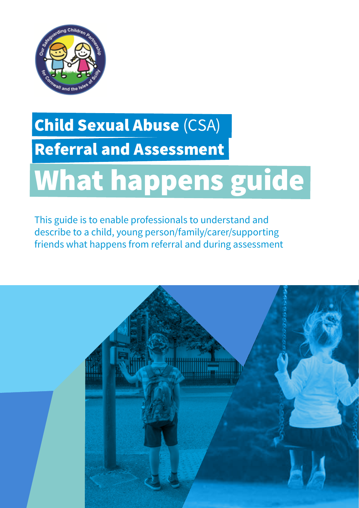

# Child Sexual Abuse (CSA) Referral and Assessment

# What happens guide

This guide is to enable professionals to understand and describe to a child, young person/family/carer/supporting friends what happens from referral and during assessment

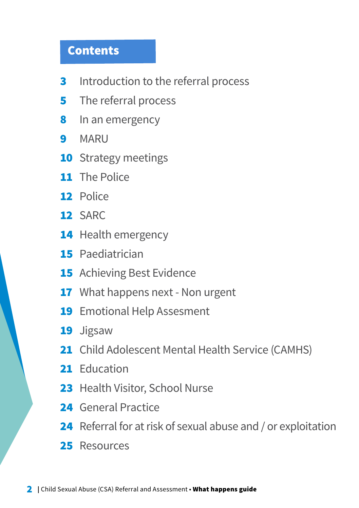### Contents

- **3** Introduction to the referral process
- **5** The referral process
- 8 In an emergency
- 9 MARU
- **10** Strategy meetings
- 11 The Police
- 12 Police
- 12 SARC
- 14 Health emergency
- 15 Paediatrician
- **15** Achieving Best Evidence
- 17 What happens next Non urgent
- 19 Emotional Help Assesment
- 19 Jigsaw
- 21 Child Adolescent Mental Health Service (CAMHS)
- 21 Education
- 23 Health Visitor, School Nurse
- 24 General Practice
- 24 Referral for at risk of sexual abuse and / or exploitation
- 25 Resources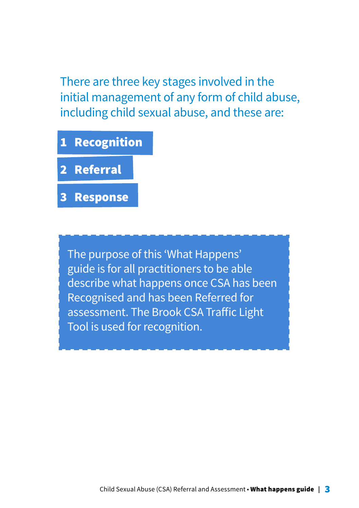There are three key stages involved in the initial management of any form of child abuse, including child sexual abuse, and these are:

1 Recognition 2 Referral 3 Response

The purpose of this 'What Happens' guide is for all practitioners to be able describe what happens once CSA has been Recognised and has been Referred for assessment. The Brook CSA Traffic Light Tool is used for recognition.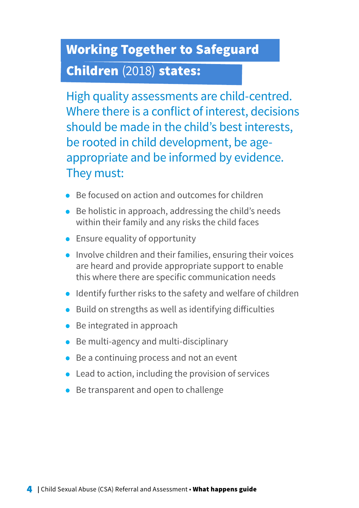# Working Together to Safeguard

### Children (2018) states:

High quality assessments are child-centred. Where there is a conflict of interest, decisions should be made in the child's best interests, be rooted in child development, be ageappropriate and be informed by evidence. They must:

- Be focused on action and outcomes for children
- Be holistic in approach, addressing the child's needs within their family and any risks the child faces
- Ensure equality of opportunity
- Involve children and their families, ensuring their voices are heard and provide appropriate support to enable this where there are specific communication needs
- Identify further risks to the safety and welfare of children
- Build on strengths as well as identifying difficulties
- Be integrated in approach
- Be multi-agency and multi-disciplinary
- Be a continuing process and not an event
- Lead to action, including the provision of services
- Be transparent and open to challenge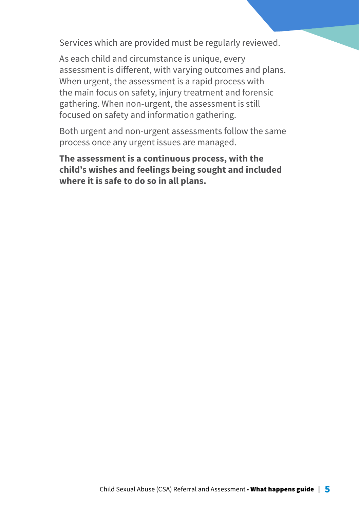Services which are provided must be regularly reviewed.

As each child and circumstance is unique, every assessment is different, with varying outcomes and plans. When urgent, the assessment is a rapid process with the main focus on safety, injury treatment and forensic gathering. When non-urgent, the assessment is still focused on safety and information gathering.

Both urgent and non-urgent assessments follow the same process once any urgent issues are managed.

**The assessment is a continuous process, with the child's wishes and feelings being sought and included where it is safe to do so in all plans.**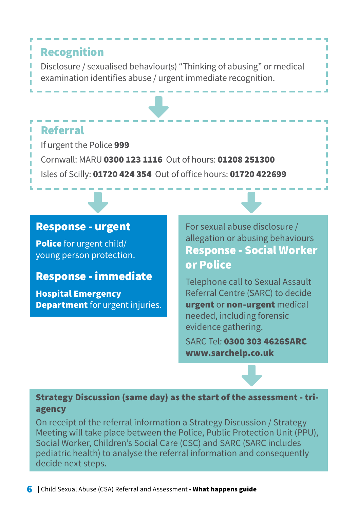### Recognition Disclosure / sexualised behaviour(s) "Thinking of abusing" or medical examination identifies abuse / urgent immediate recognition.

### Referral

If urgent the Police 999 Cornwall: MARU 0300 123 1116 Out of hours: 01208 251300 Isles of Scilly: 01720 424 354 Out of office hours: 01720 422699

### Response - urgent

Police for urgent child/ young person protection.

### Response - immediate

Hospital Emergency **Department** for urgent injuries. For sexual abuse disclosure / allegation or abusing behaviours Response - Social Worker or Police

Telephone call to Sexual Assault Referral Centre (SARC) to decide urgent or non-urgent medical needed, including forensic evidence gathering.

SARC Tel: 0300 303 4626SARC www.sarchelp.co.uk

### Strategy Discussion (same day) as the start of the assessment - triagency

On receipt of the referral information a Strategy Discussion / Strategy Meeting will take place between the Police, Public Protection Unit (PPU), Social Worker, Children's Social Care (CSC) and SARC (SARC includes pediatric health) to analyse the referral information and consequently decide next steps.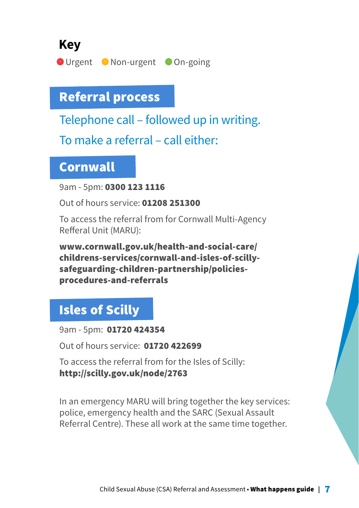**Key**

**O** Urgent • Non-urgent • On-going

# Referral process

Telephone call – followed up in writing.

To make a referral – call either:

### Cornwall

9am - 5pm: 0300 123 1116

Out of hours service: 01208 251300

To access the referral from for Cornwall Multi-Agency Refferal Unit (MARU):

www.cornwall.gov.uk/health-and-social-care/ childrens-services/cornwall-and-isles-of-scillysafeguarding-children-partnership/policiesprocedures-and-referrals

# Isles of Scilly

9am - 5pm: 01720 424354

Out of hours service: 01720 422699

To access the referral from for the Isles of Scilly: http://scilly.gov.uk/node/2763

In an emergency MARU will bring together the key services: police, emergency health and the SARC (Sexual Assault Referral Centre). These all work at the same time together.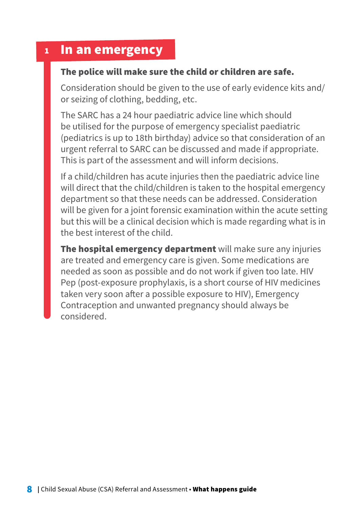### <sup>1</sup> In an emergency

### The police will make sure the child or children are safe.

Consideration should be given to the use of early evidence kits and/ or seizing of clothing, bedding, etc.

The SARC has a 24 hour paediatric advice line which should be utilised for the purpose of emergency specialist paediatric (pediatrics is up to 18th birthday) advice so that consideration of an urgent referral to SARC can be discussed and made if appropriate. This is part of the assessment and will inform decisions.

If a child/children has acute injuries then the paediatric advice line will direct that the child/children is taken to the hospital emergency department so that these needs can be addressed. Consideration will be given for a joint forensic examination within the acute setting but this will be a clinical decision which is made regarding what is in the best interest of the child.

The hospital emergency department will make sure any injuries are treated and emergency care is given. Some medications are needed as soon as possible and do not work if given too late. HIV Pep (post-exposure prophylaxis, is a short course of HIV medicines taken very soon after a possible exposure to HIV), Emergency Contraception and unwanted pregnancy should always be considered.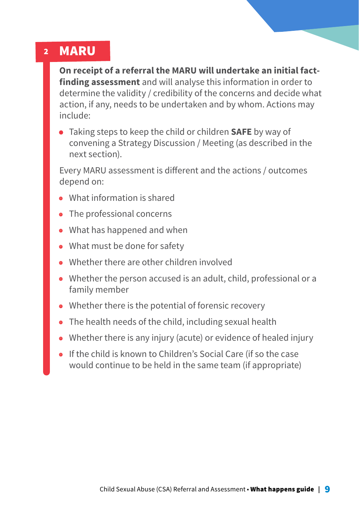#### 2 MARU

**On receipt of a referral the MARU will undertake an initial factfinding assessment** and will analyse this information in order to determine the validity / credibility of the concerns and decide what action, if any, needs to be undertaken and by whom. Actions may include:

• Taking steps to keep the child or children **SAFE** by way of convening a Strategy Discussion / Meeting (as described in the next section).

Every MARU assessment is different and the actions / outcomes depend on:

- What information is shared
- The professional concerns
- What has happened and when
- What must be done for safety
- Whether there are other children involved
- Whether the person accused is an adult, child, professional or a family member
- Whether there is the potential of forensic recovery
- The health needs of the child, including sexual health
- Whether there is any injury (acute) or evidence of healed injury
- If the child is known to Children's Social Care (if so the case would continue to be held in the same team (if appropriate)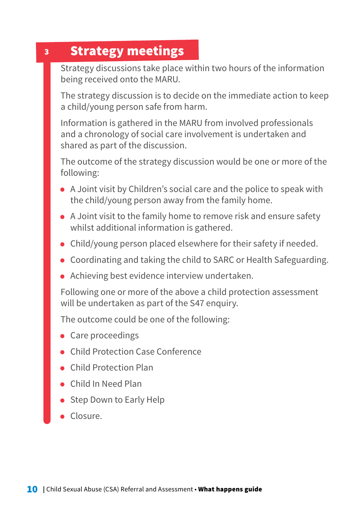#### 3 Strategy meetings

Strategy discussions take place within two hours of the information being received onto the MARU.

The strategy discussion is to decide on the immediate action to keep a child/young person safe from harm.

Information is gathered in the MARU from involved professionals and a chronology of social care involvement is undertaken and shared as part of the discussion.

The outcome of the strategy discussion would be one or more of the following:

- A Joint visit by Children's social care and the police to speak with the child/young person away from the family home.
- A Joint visit to the family home to remove risk and ensure safety whilst additional information is gathered.
- Child/young person placed elsewhere for their safety if needed.
- Coordinating and taking the child to SARC or Health Safeguarding.
- Achieving best evidence interview undertaken.

Following one or more of the above a child protection assessment will be undertaken as part of the S47 enquiry.

The outcome could be one of the following:

- Care proceedings
- Child Protection Case Conference
- Child Protection Plan
- Child In Need Plan
- Step Down to Early Help
- Closure.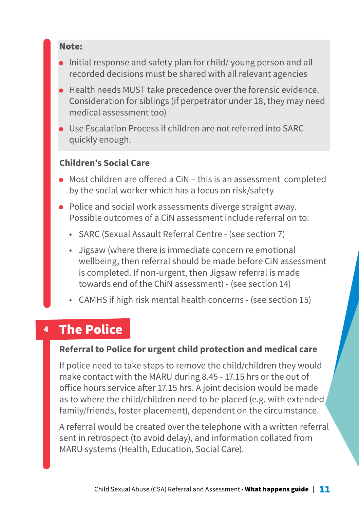#### Note:

- Initial response and safety plan for child/ young person and all recorded decisions must be shared with all relevant agencies
- Health needs MUST take precedence over the forensic evidence. Consideration for siblings (if perpetrator under 18, they may need medical assessment too)
- Use Escalation Process if children are not referred into SARC quickly enough.

### **Children's Social Care**

- Most children are offered a CiN this is an assessment completed by the social worker which has a focus on risk/safety
- Police and social work assessments diverge straight away. Possible outcomes of a CiN assessment include referral on to:
	- SARC (Sexual Assault Referral Centre (see section 7)
	- Jigsaw (where there is immediate concern re emotional wellbeing, then referral should be made before CiN assessment is completed. If non-urgent, then Jigsaw referral is made towards end of the ChiN assessment) - (see section 14)
	- CAMHS if high risk mental health concerns (see section 15)

#### 4 The Police

#### **Referral to Police for urgent child protection and medical care**

If police need to take steps to remove the child/children they would make contact with the MARU during 8.45 - 17.15 hrs or the out of office hours service after 17.15 hrs. A joint decision would be made as to where the child/children need to be placed (e.g. with extended family/friends, foster placement), dependent on the circumstance.

A referral would be created over the telephone with a written referral sent in retrospect (to avoid delay), and information collated from MARU systems (Health, Education, Social Care).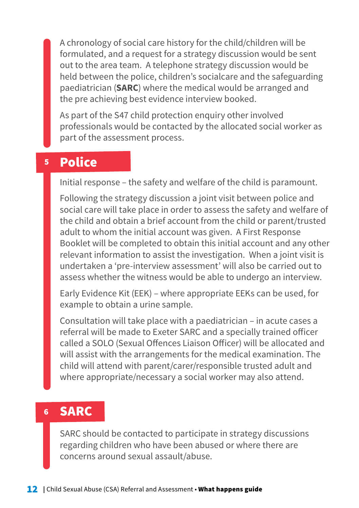A chronology of social care history for the child/children will be formulated, and a request for a strategy discussion would be sent out to the area team. A telephone strategy discussion would be held between the police, children's socialcare and the safeguarding paediatrician (**SARC**) where the medical would be arranged and the pre achieving best evidence interview booked.

As part of the S47 child protection enquiry other involved professionals would be contacted by the allocated social worker as part of the assessment process.

#### 5 Police

Initial response – the safety and welfare of the child is paramount.

Following the strategy discussion a joint visit between police and social care will take place in order to assess the safety and welfare of the child and obtain a brief account from the child or parent/trusted adult to whom the initial account was given. A First Response Booklet will be completed to obtain this initial account and any other relevant information to assist the investigation. When a joint visit is undertaken a 'pre-interview assessment' will also be carried out to assess whether the witness would be able to undergo an interview.

Early Evidence Kit (EEK) – where appropriate EEKs can be used, for example to obtain a urine sample.

Consultation will take place with a paediatrician – in acute cases a referral will be made to Exeter SARC and a specially trained officer called a SOLO (Sexual Offences Liaison Officer) will be allocated and will assist with the arrangements for the medical examination. The child will attend with parent/carer/responsible trusted adult and where appropriate/necessary a social worker may also attend.

#### 6 SARC

SARC should be contacted to participate in strategy discussions regarding children who have been abused or where there are concerns around sexual assault/abuse.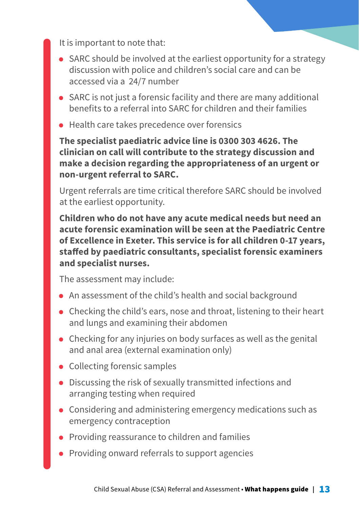It is important to note that:

- SARC should be involved at the earliest opportunity for a strategy discussion with police and children's social care and can be accessed via a 24/7 number
- SARC is not just a forensic facility and there are many additional benefits to a referral into SARC for children and their families
- Health care takes precedence over forensics

**The specialist paediatric advice line is 0300 303 4626. The clinician on call will contribute to the strategy discussion and make a decision regarding the appropriateness of an urgent or non-urgent referral to SARC.** 

Urgent referrals are time critical therefore SARC should be involved at the earliest opportunity.

**Children who do not have any acute medical needs but need an acute forensic examination will be seen at the Paediatric Centre of Excellence in Exeter. This service is for all children 0-17 years, staffed by paediatric consultants, specialist forensic examiners and specialist nurses.** 

The assessment may include:

- An assessment of the child's health and social background
- Checking the child's ears, nose and throat, listening to their heart and lungs and examining their abdomen
- Checking for any injuries on body surfaces as well as the genital and anal area (external examination only)
- Collecting forensic samples
- Discussing the risk of sexually transmitted infections and arranging testing when required
- Considering and administering emergency medications such as emergency contraception
- Providing reassurance to children and families
- Providing onward referrals to support agencies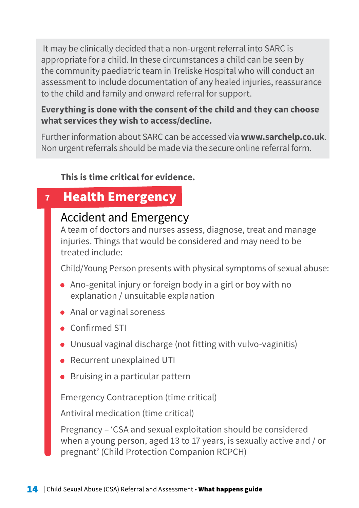It may be clinically decided that a non-urgent referral into SARC is appropriate for a child. In these circumstances a child can be seen by the community paediatric team in Treliske Hospital who will conduct an assessment to include documentation of any healed injuries, reassurance to the child and family and onward referral for support.

### **Everything is done with the consent of the child and they can choose what services they wish to access/decline.**

Further information about SARC can be accessed via **www.sarchelp.co.uk**. Non urgent referrals should be made via the secure online referral form.

### **This is time critical for evidence.**

#### 7 Health Emergency

### Accident and Emergency

A team of doctors and nurses assess, diagnose, treat and manage injuries. Things that would be considered and may need to be treated include:

Child/Young Person presents with physical symptoms of sexual abuse:

- Ano-genital injury or foreign body in a girl or boy with no explanation / unsuitable explanation
- Anal or vaginal soreness
- Confirmed STI
- Unusual vaginal discharge (not fitting with vulvo-vaginitis)
- Recurrent unexplained UTI
- Bruising in a particular pattern

Emergency Contraception (time critical)

Antiviral medication (time critical)

Pregnancy – 'CSA and sexual exploitation should be considered when a young person, aged 13 to 17 years, is sexually active and / or pregnant' (Child Protection Companion RCPCH)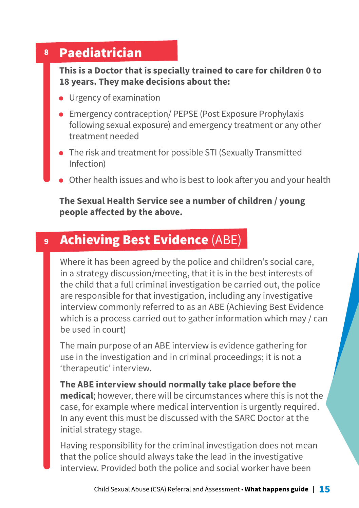#### 8 Paediatrician

**This is a Doctor that is specially trained to care for children 0 to 18 years. They make decisions about the:**

- Urgency of examination
- Emergency contraception/ PEPSE (Post Exposure Prophylaxis following sexual exposure) and emergency treatment or any other treatment needed
- The risk and treatment for possible STI (Sexually Transmitted Infection)
- Other health issues and who is best to look after you and your health

### **The Sexual Health Service see a number of children / young people affected by the above.**

#### 9 Achieving Best Evidence (ABE)

Where it has been agreed by the police and children's social care, in a strategy discussion/meeting, that it is in the best interests of the child that a full criminal investigation be carried out, the police are responsible for that investigation, including any investigative interview commonly referred to as an ABE (Achieving Best Evidence which is a process carried out to gather information which may / can be used in court)

The main purpose of an ABE interview is evidence gathering for use in the investigation and in criminal proceedings; it is not a 'therapeutic' interview.

**The ABE interview should normally take place before the medical**; however, there will be circumstances where this is not the case, for example where medical intervention is urgently required. In any event this must be discussed with the SARC Doctor at the initial strategy stage.

Having responsibility for the criminal investigation does not mean that the police should always take the lead in the investigative interview. Provided both the police and social worker have been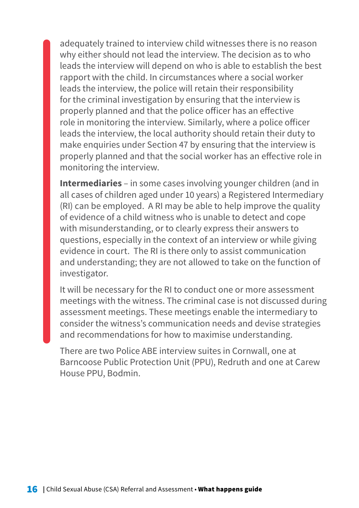adequately trained to interview child witnesses there is no reason why either should not lead the interview. The decision as to who leads the interview will depend on who is able to establish the best rapport with the child. In circumstances where a social worker leads the interview, the police will retain their responsibility for the criminal investigation by ensuring that the interview is properly planned and that the police officer has an effective role in monitoring the interview. Similarly, where a police officer leads the interview, the local authority should retain their duty to make enquiries under Section 47 by ensuring that the interview is properly planned and that the social worker has an effective role in monitoring the interview.

**Intermediaries** – in some cases involving younger children (and in all cases of children aged under 10 years) a Registered Intermediary (RI) can be employed. A RI may be able to help improve the quality of evidence of a child witness who is unable to detect and cope with misunderstanding, or to clearly express their answers to questions, especially in the context of an interview or while giving evidence in court. The RI is there only to assist communication and understanding; they are not allowed to take on the function of investigator.

It will be necessary for the RI to conduct one or more assessment meetings with the witness. The criminal case is not discussed during assessment meetings. These meetings enable the intermediary to consider the witness's communication needs and devise strategies and recommendations for how to maximise understanding.

There are two Police ABE interview suites in Cornwall, one at Barncoose Public Protection Unit (PPU), Redruth and one at Carew House PPU, Bodmin.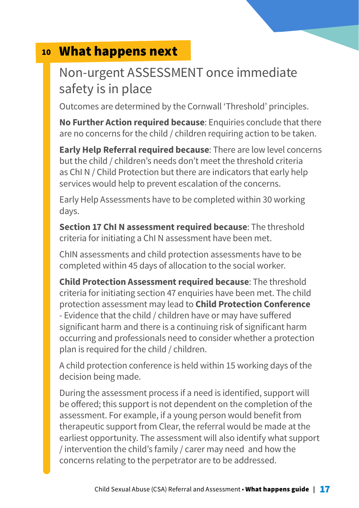# 10 What happens next

# Non-urgent ASSESSMENT once immediate safety is in place

Outcomes are determined by the Cornwall 'Threshold' principles.

**No Further Action required because**: Enquiries conclude that there are no concerns for the child / children requiring action to be taken.

**Early Help Referral required because**: There are low level concerns but the child / children's needs don't meet the threshold criteria as ChI N / Child Protection but there are indicators that early help services would help to prevent escalation of the concerns.

Early Help Assessments have to be completed within 30 working days.

**Section 17 ChI N assessment required because**: The threshold criteria for initiating a ChI N assessment have been met.

ChIN assessments and child protection assessments have to be completed within 45 days of allocation to the social worker.

**Child Protection Assessment required because**: The threshold criteria for initiating section 47 enquiries have been met. The child protection assessment may lead to **Child Protection Conference** - Evidence that the child / children have or may have suffered significant harm and there is a continuing risk of significant harm occurring and professionals need to consider whether a protection plan is required for the child / children.

A child protection conference is held within 15 working days of the decision being made.

During the assessment process if a need is identified, support will be offered; this support is not dependent on the completion of the assessment. For example, if a young person would benefit from therapeutic support from Clear, the referral would be made at the earliest opportunity. The assessment will also identify what support / intervention the child's family / carer may need and how the concerns relating to the perpetrator are to be addressed.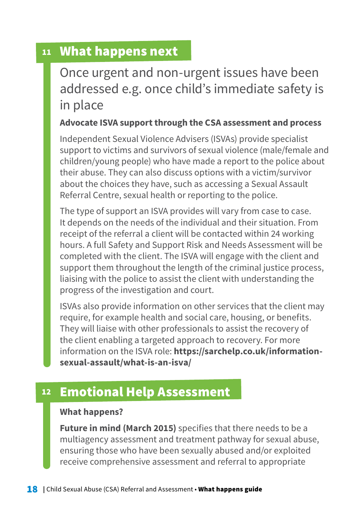# 11 What happens next

Once urgent and non-urgent issues have been addressed e.g. once child's immediate safety is in place

### **Advocate ISVA support through the CSA assessment and process**

Independent Sexual Violence Advisers (ISVAs) provide specialist support to victims and survivors of sexual violence (male/female and children/young people) who have made a report to the police about their abuse. They can also discuss options with a victim/survivor about the choices they have, such as accessing a Sexual Assault Referral Centre, sexual health or reporting to the police.

The type of support an ISVA provides will vary from case to case. It depends on the needs of the individual and their situation. From receipt of the referral a client will be contacted within 24 working hours. A full Safety and Support Risk and Needs Assessment will be completed with the client. The ISVA will engage with the client and support them throughout the length of the criminal justice process, liaising with the police to assist the client with understanding the progress of the investigation and court.

ISVAs also provide information on other services that the client may require, for example health and social care, housing, or benefits. They will liaise with other professionals to assist the recovery of the client enabling a targeted approach to recovery. For more information on the ISVA role: **https://sarchelp.co.uk/informationsexual-assault/what-is-an-isva/**

#### 12 Emotional Help Assessment

#### **What happens?**

**Future in mind (March 2015)** specifies that there needs to be a multiagency assessment and treatment pathway for sexual abuse, ensuring those who have been sexually abused and/or exploited receive comprehensive assessment and referral to appropriate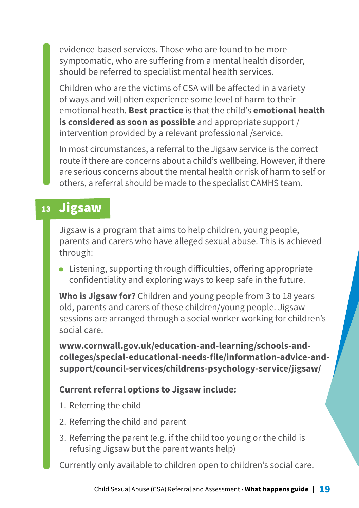evidence-based services. Those who are found to be more symptomatic, who are suffering from a mental health disorder, should be referred to specialist mental health services.

Children who are the victims of CSA will be affected in a variety of ways and will often experience some level of harm to their emotional heath. **Best practice** is that the child's **emotional health is considered as soon as possible** and appropriate support / intervention provided by a relevant professional /service.

In most circumstances, a referral to the Jigsaw service is the correct route if there are concerns about a child's wellbeing. However, if there are serious concerns about the mental health or risk of harm to self or others, a referral should be made to the specialist CAMHS team.

## 13 Jigsaw

Jigsaw is a program that aims to help children, young people, parents and carers who have alleged sexual abuse. This is achieved through:

• Listening, supporting through difficulties, offering appropriate confidentiality and exploring ways to keep safe in the future.

**Who is Jigsaw for?** Children and young people from 3 to 18 years old, parents and carers of these children/young people. Jigsaw sessions are arranged through a social worker working for children's social care.

**www.cornwall.gov.uk/education-and-learning/schools-andcolleges/special-educational-needs-file/information-advice-andsupport/council-services/childrens-psychology-service/jigsaw/**

### **Current referral options to Jigsaw include:**

- 1. Referring the child
- 2. Referring the child and parent
- 3. Referring the parent (e.g. if the child too young or the child is refusing Jigsaw but the parent wants help)

Currently only available to children open to children's social care.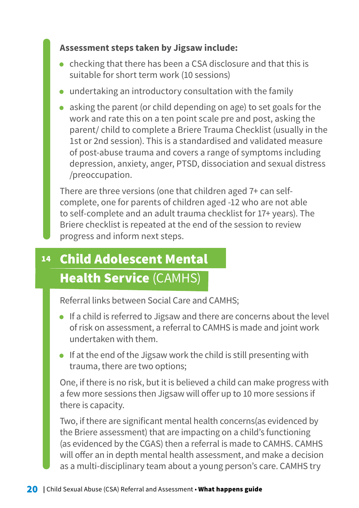### **Assessment steps taken by Jigsaw include:**

- checking that there has been a CSA disclosure and that this is suitable for short term work (10 sessions)
- undertaking an introductory consultation with the family
- asking the parent (or child depending on age) to set goals for the work and rate this on a ten point scale pre and post, asking the parent/ child to complete a Briere Trauma Checklist (usually in the 1st or 2nd session). This is a standardised and validated measure of post-abuse trauma and covers a range of symptoms including depression, anxiety, anger, PTSD, dissociation and sexual distress /preoccupation.

There are three versions (one that children aged 7+ can selfcomplete, one for parents of children aged -12 who are not able to self-complete and an adult trauma checklist for 17+ years). The Briere checklist is repeated at the end of the session to review progress and inform next steps.

### 14 Child Adolescent Mental Health Service (CAMHS)

Referral links between Social Care and CAMHS;

- If a child is referred to Jigsaw and there are concerns about the level of risk on assessment, a referral to CAMHS is made and joint work undertaken with them.
- If at the end of the Jigsaw work the child is still presenting with trauma, there are two options;

One, if there is no risk, but it is believed a child can make progress with a few more sessions then Jigsaw will offer up to 10 more sessions if there is capacity.

Two, if there are significant mental health concerns(as evidenced by the Briere assessment) that are impacting on a child's functioning (as evidenced by the CGAS) then a referral is made to CAMHS. CAMHS will offer an in depth mental health assessment, and make a decision as a multi-disciplinary team about a young person's care. CAMHS try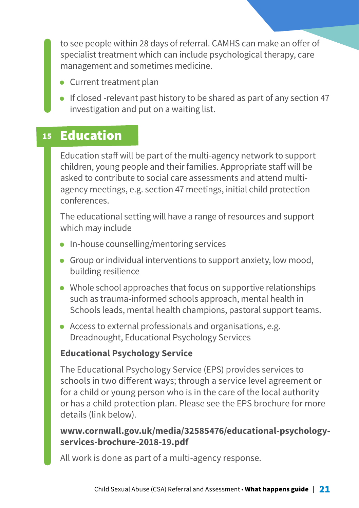to see people within 28 days of referral. CAMHS can make an offer of specialist treatment which can include psychological therapy, care management and sometimes medicine.

- Current treatment plan
- If closed -relevant past history to be shared as part of any section 47 investigation and put on a waiting list.

#### 15 Education

Education staff will be part of the multi-agency network to support children, young people and their families. Appropriate staff will be asked to contribute to social care assessments and attend multiagency meetings, e.g. section 47 meetings, initial child protection conferences.

The educational setting will have a range of resources and support which may include

- In-house counselling/mentoring services
- Group or individual interventions to support anxiety, low mood, building resilience
- Whole school approaches that focus on supportive relationships such as trauma-informed schools approach, mental health in Schools leads, mental health champions, pastoral support teams.
- Access to external professionals and organisations, e.g. Dreadnought, Educational Psychology Services

### **Educational Psychology Service**

The Educational Psychology Service (EPS) provides services to schools in two different ways; through a service level agreement or for a child or young person who is in the care of the local authority or has a child protection plan. Please see the EPS brochure for more details (link below).

### **www.cornwall.gov.uk/media/32585476/educational-psychologyservices-brochure-2018-19.pdf**

All work is done as part of a multi-agency response.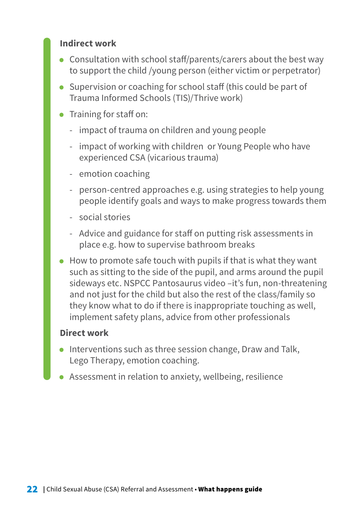### **Indirect work**

- Consultation with school staff/parents/carers about the best way to support the child /young person (either victim or perpetrator)
- Supervision or coaching for school staff (this could be part of Trauma Informed Schools (TIS)/Thrive work)
- Training for staff on:
	- impact of trauma on children and young people
	- impact of working with children or Young People who have experienced CSA (vicarious trauma)
	- emotion coaching
	- person-centred approaches e.g. using strategies to help young people identify goals and ways to make progress towards them
	- social stories
	- Advice and guidance for staff on putting risk assessments in place e.g. how to supervise bathroom breaks
- How to promote safe touch with pupils if that is what they want such as sitting to the side of the pupil, and arms around the pupil sideways etc. NSPCC Pantosaurus video –it's fun, non-threatening and not just for the child but also the rest of the class/family so they know what to do if there is inappropriate touching as well, implement safety plans, advice from other professionals

#### **Direct work**

- Interventions such as three session change, Draw and Talk, Lego Therapy, emotion coaching.
- Assessment in relation to anxiety, wellbeing, resilience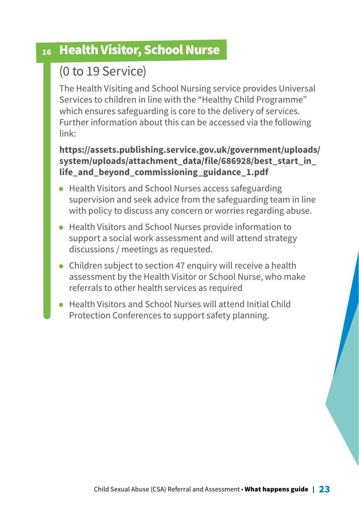# 16 Health Visitor, School Nurse

# (0 to 19 Service)

The Health Visiting and School Nursing service provides Universal Services to children in line with the "Healthy Child Programme" which ensures safeguarding is core to the delivery of services. Further information about this can be accessed via the following link:

### **https://assets.publishing.service.gov.uk/government/uploads/ system/uploads/attachment\_data/file/686928/best\_start\_in\_ life\_and\_beyond\_commissioning\_guidance\_1.pdf**

- Health Visitors and School Nurses access safeguarding supervision and seek advice from the safeguarding team in line with policy to discuss any concern or worries regarding abuse.
- Health Visitors and School Nurses provide information to support a social work assessment and will attend strategy discussions / meetings as requested.
- Children subject to section 47 enquiry will receive a health assessment by the Health Visitor or School Nurse, who make referrals to other health services as required
- Health Visitors and School Nurses will attend Initial Child Protection Conferences to support safety planning.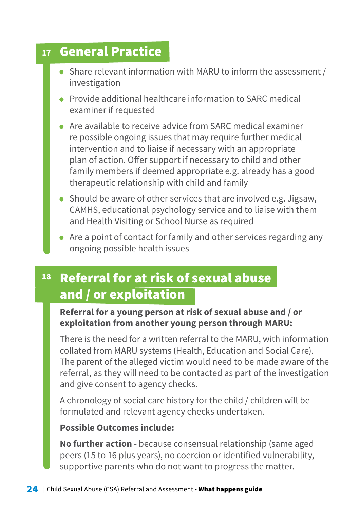#### 17 General Practice

- Share relevant information with MARU to inform the assessment / investigation
- Provide additional healthcare information to SARC medical examiner if requested
- Are available to receive advice from SARC medical examiner re possible ongoing issues that may require further medical intervention and to liaise if necessary with an appropriate plan of action. Offer support if necessary to child and other family members if deemed appropriate e.g. already has a good therapeutic relationship with child and family
- Should be aware of other services that are involved e.g. Jigsaw, CAMHS, educational psychology service and to liaise with them and Health Visiting or School Nurse as required
- Are a point of contact for family and other services regarding any ongoing possible health issues

#### 18 Referral for at risk of sexual abuse and / or exploitation

### **Referral for a young person at risk of sexual abuse and / or exploitation from another young person through MARU:**

There is the need for a written referral to the MARU, with information collated from MARU systems (Health, Education and Social Care). The parent of the alleged victim would need to be made aware of the referral, as they will need to be contacted as part of the investigation and give consent to agency checks.

A chronology of social care history for the child / children will be formulated and relevant agency checks undertaken.

### **Possible Outcomes include:**

**No further action** - because consensual relationship (same aged peers (15 to 16 plus years), no coercion or identified vulnerability, supportive parents who do not want to progress the matter.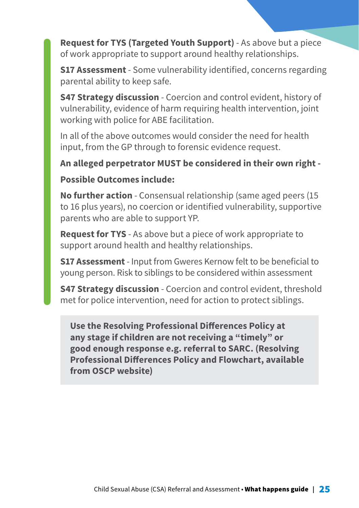**Request for TYS (Targeted Youth Support)** - As above but a piece of work appropriate to support around healthy relationships.

**S17 Assessment** - Some vulnerability identified, concerns regarding parental ability to keep safe.

**S47 Strategy discussion** - Coercion and control evident, history of vulnerability, evidence of harm requiring health intervention, joint working with police for ABE facilitation.

In all of the above outcomes would consider the need for health input, from the GP through to forensic evidence request.

### **An alleged perpetrator MUST be considered in their own right -**

#### **Possible Outcomes include:**

**No further action** - Consensual relationship (same aged peers (15 to 16 plus years), no coercion or identified vulnerability, supportive parents who are able to support YP.

**Request for TYS** - As above but a piece of work appropriate to support around health and healthy relationships.

**S17 Assessment** - Input from Gweres Kernow felt to be beneficial to young person. Risk to siblings to be considered within assessment

**S47 Strategy discussion** - Coercion and control evident, threshold met for police intervention, need for action to protect siblings.

**Use the Resolving Professional Differences Policy at any stage if children are not receiving a "timely" or good enough response e.g. referral to SARC. (Resolving Professional Differences Policy and Flowchart, available from OSCP website)**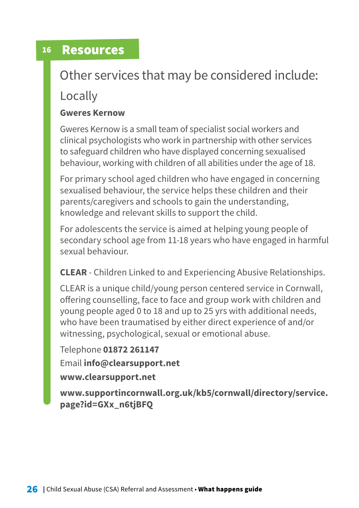#### 16 Resources

# Other services that may be considered include:

Locally

### **Gweres Kernow**

Gweres Kernow is a small team of specialist social workers and clinical psychologists who work in partnership with other services to safeguard children who have displayed concerning sexualised behaviour, working with children of all abilities under the age of 18.

For primary school aged children who have engaged in concerning sexualised behaviour, the service helps these children and their parents/caregivers and schools to gain the understanding, knowledge and relevant skills to support the child.

For adolescents the service is aimed at helping young people of secondary school age from 11-18 years who have engaged in harmful sexual behaviour.

**CLEAR** - Children Linked to and Experiencing Abusive Relationships.

CLEAR is a unique child/young person centered service in Cornwall, offering counselling, face to face and group work with children and young people aged 0 to 18 and up to 25 yrs with additional needs, who have been traumatised by either direct experience of and/or witnessing, psychological, sexual or emotional abuse.

Telephone **01872 261147** Email **info@clearsupport.net www.clearsupport.net** 

**www.supportincornwall.org.uk/kb5/cornwall/directory/service. page?id=GXx\_n6tjBFQ**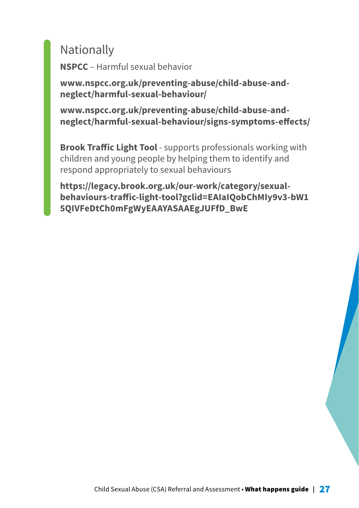# **Nationally**

**NSPCC** – Harmful sexual behavior

**www.nspcc.org.uk/preventing-abuse/child-abuse-andneglect/harmful-sexual-behaviour/**

**www.nspcc.org.uk/preventing-abuse/child-abuse-andneglect/harmful-sexual-behaviour/signs-symptoms-effects/**

**Brook Traffic Light Tool** - supports professionals working with children and young people by helping them to identify and respond appropriately to sexual behaviours

**[https://legacy.brook.org.uk/our-work/category/sexual](https://legacy.brook.org.uk/our-work/category/sexual-behaviours-traffic-light-tool?gclid=EAIaIQobChMIy9v3-bW15QIVFeDtCh0mFgWyEAAYASAAEgJUFfD_BwE)[behaviours-traffic-light-tool?gclid=EAIaIQobChMIy9v3-bW1](https://legacy.brook.org.uk/our-work/category/sexual-behaviours-traffic-light-tool?gclid=EAIaIQobChMIy9v3-bW15QIVFeDtCh0mFgWyEAAYASAAEgJUFfD_BwE) [5QIVFeDtCh0mFgWyEAAYASAAEgJUFfD\\_BwE](https://legacy.brook.org.uk/our-work/category/sexual-behaviours-traffic-light-tool?gclid=EAIaIQobChMIy9v3-bW15QIVFeDtCh0mFgWyEAAYASAAEgJUFfD_BwE)**